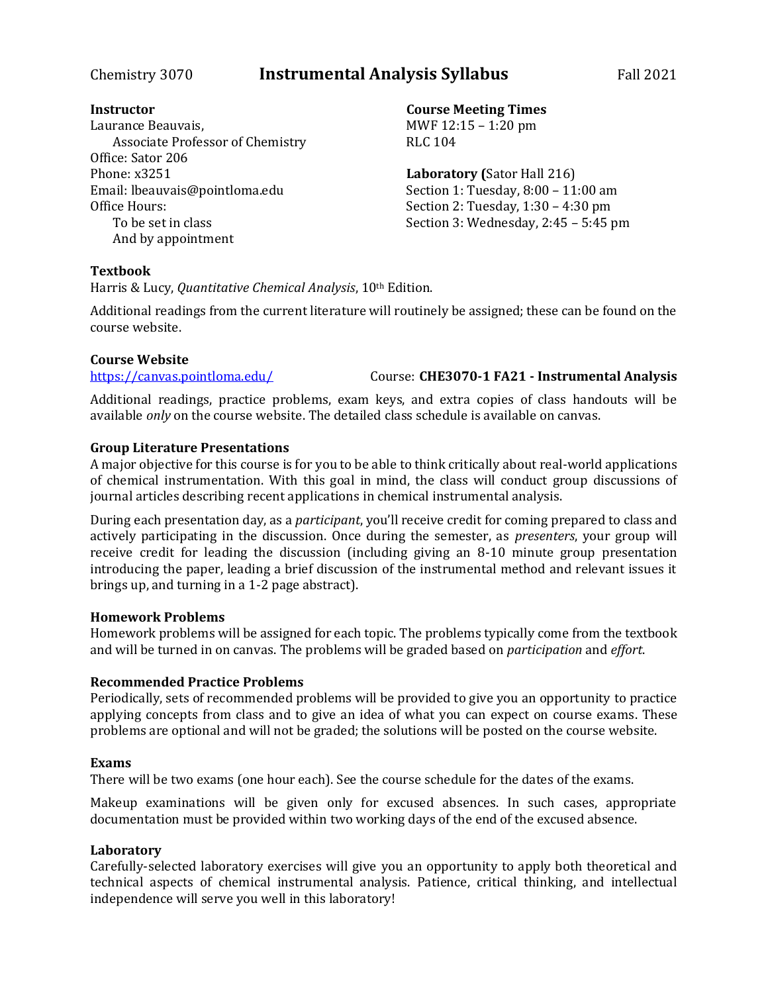# Chemistry 3070 **Instrumental Analysis Syllabus** Fall 2021

### **Instructor**

Laurance Beauvais, Associate Professor of Chemistry Office: Sator 206 Phone: x3251 Email: lbeauvais@pointloma.edu Office Hours: To be set in class And by appointment

### **Course Meeting Times** MWF 12:15 – 1:20 pm RLC 104

**Laboratory (**Sator Hall 216) Section 1: Tuesday, 8:00 – 11:00 am Section 2: Tuesday, 1:30 – 4:30 pm Section 3: Wednesday, 2:45 – 5:45 pm

### **Textbook**

Harris & Lucy, *Quantitative Chemical Analysis*, 10th Edition.

Additional readings from the current literature will routinely be assigned; these can be found on the course website.

### **Course Website**

<https://canvas.pointloma.edu/> Course: **CHE3070-1 FA21 - Instrumental Analysis**

Additional readings, practice problems, exam keys, and extra copies of class handouts will be available *only* on the course website. The detailed class schedule is available on canvas.

## **Group Literature Presentations**

A major objective for this course is for you to be able to think critically about real-world applications of chemical instrumentation. With this goal in mind, the class will conduct group discussions of journal articles describing recent applications in chemical instrumental analysis.

During each presentation day, as a *participant*, you'll receive credit for coming prepared to class and actively participating in the discussion. Once during the semester, as *presenters*, your group will receive credit for leading the discussion (including giving an 8-10 minute group presentation introducing the paper, leading a brief discussion of the instrumental method and relevant issues it brings up, and turning in a 1-2 page abstract).

### **Homework Problems**

Homework problems will be assigned for each topic. The problems typically come from the textbook and will be turned in on canvas. The problems will be graded based on *participation* and *effort*.

## **Recommended Practice Problems**

Periodically, sets of recommended problems will be provided to give you an opportunity to practice applying concepts from class and to give an idea of what you can expect on course exams. These problems are optional and will not be graded; the solutions will be posted on the course website.

## **Exams**

There will be two exams (one hour each). See the course schedule for the dates of the exams.

Makeup examinations will be given only for excused absences. In such cases, appropriate documentation must be provided within two working days of the end of the excused absence.

### **Laboratory**

Carefully-selected laboratory exercises will give you an opportunity to apply both theoretical and technical aspects of chemical instrumental analysis. Patience, critical thinking, and intellectual independence will serve you well in this laboratory!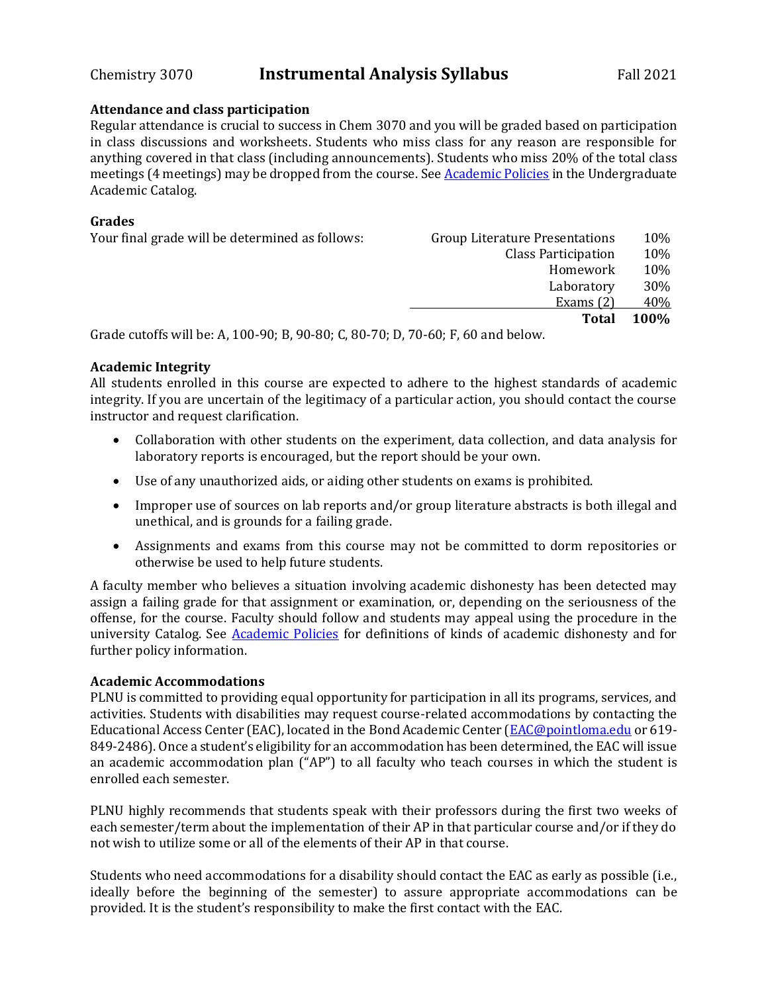## **Attendance and class participation**

Regular attendance is crucial to success in Chem 3070 and you will be graded based on participation in class discussions and worksheets. Students who miss class for any reason are responsible for anything covered in that class (including announcements). Students who miss 20% of the total class meetings (4 meetings) may be dropped from the course. Se[e Academic Policies](http://catalog.pointloma.edu/content.php?catoid=18&navoid=1278) in the Undergraduate Academic Catalog.

## **Grades**

| Your final grade will be determined as follows:                                          | <b>Group Literature Presentations</b> | 10%         |
|------------------------------------------------------------------------------------------|---------------------------------------|-------------|
|                                                                                          | <b>Class Participation</b>            | 10%         |
|                                                                                          | Homework                              | 10%         |
|                                                                                          | Laboratory                            | 30%         |
|                                                                                          | Exams $(2)$                           | 40%         |
|                                                                                          | <b>Total</b>                          | <b>100%</b> |
| $C = 1$ , $C = 111$ , $A = 4.00, 00, D = 00, 00, C = 00, T = 0, C = 0, T = 0, A = 11, A$ |                                       |             |

Grade cutoffs will be: A, 100-90; B, 90-80; C, 80-70; D, 70-60; F, 60 and below.

## **Academic Integrity**

All students enrolled in this course are expected to adhere to the highest standards of academic integrity. If you are uncertain of the legitimacy of a particular action, you should contact the course instructor and request clarification.

- Collaboration with other students on the experiment, data collection, and data analysis for laboratory reports is encouraged, but the report should be your own.
- Use of any unauthorized aids, or aiding other students on exams is prohibited.
- Improper use of sources on lab reports and/or group literature abstracts is both illegal and unethical, and is grounds for a failing grade.
- Assignments and exams from this course may not be committed to dorm repositories or otherwise be used to help future students.

A faculty member who believes a situation involving academic dishonesty has been detected may assign a failing grade for that assignment or examination, or, depending on the seriousness of the offense, for the course. Faculty should follow and students may appeal using the procedure in the university Catalog. See **Academic Policies** for definitions of kinds of academic dishonesty and for further policy information.

## **Academic Accommodations**

PLNU is committed to providing equal opportunity for participation in all its programs, services, and activities. Students with disabilities may request course-related accommodations by contacting the Educational Access Center (EAC), located in the Bond Academic Center [\(EAC@pointloma.edu](mailto:EAC@pointloma.edu) or 619-849-2486). Once a student's eligibility for an accommodation has been determined, the EAC will issue an academic accommodation plan ("AP") to all faculty who teach courses in which the student is enrolled each semester.

PLNU highly recommends that students speak with their professors during the first two weeks of each semester/term about the implementation of their AP in that particular course and/or if they do not wish to utilize some or all of the elements of their AP in that course.

Students who need accommodations for a disability should contact the EAC as early as possible (i.e., ideally before the beginning of the semester) to assure appropriate accommodations can be provided. It is the student's responsibility to make the first contact with the EAC.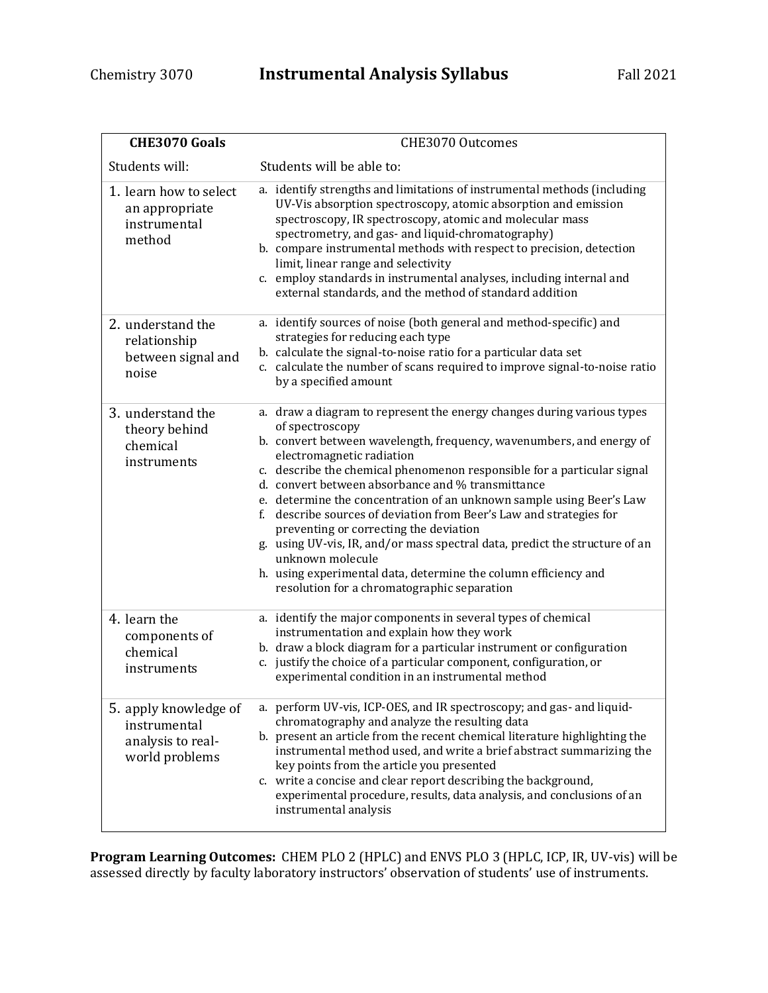| <b>CHE3070 Goals</b>                                                         | CHE3070 Outcomes                                                                                                                                                                                                                                                                                                                                                                                                                                                                                                                                                                                                                                                                                                                             |
|------------------------------------------------------------------------------|----------------------------------------------------------------------------------------------------------------------------------------------------------------------------------------------------------------------------------------------------------------------------------------------------------------------------------------------------------------------------------------------------------------------------------------------------------------------------------------------------------------------------------------------------------------------------------------------------------------------------------------------------------------------------------------------------------------------------------------------|
| Students will:                                                               | Students will be able to:                                                                                                                                                                                                                                                                                                                                                                                                                                                                                                                                                                                                                                                                                                                    |
| 1. learn how to select<br>an appropriate<br>instrumental<br>method           | a. identify strengths and limitations of instrumental methods (including<br>UV-Vis absorption spectroscopy, atomic absorption and emission<br>spectroscopy, IR spectroscopy, atomic and molecular mass<br>spectrometry, and gas- and liquid-chromatography)<br>b. compare instrumental methods with respect to precision, detection<br>limit, linear range and selectivity<br>c. employ standards in instrumental analyses, including internal and<br>external standards, and the method of standard addition                                                                                                                                                                                                                                |
| 2. understand the<br>relationship<br>between signal and<br>noise             | a. identify sources of noise (both general and method-specific) and<br>strategies for reducing each type<br>b. calculate the signal-to-noise ratio for a particular data set<br>c. calculate the number of scans required to improve signal-to-noise ratio<br>by a specified amount                                                                                                                                                                                                                                                                                                                                                                                                                                                          |
| 3. understand the<br>theory behind<br>chemical<br>instruments                | a. draw a diagram to represent the energy changes during various types<br>of spectroscopy<br>b. convert between wavelength, frequency, wavenumbers, and energy of<br>electromagnetic radiation<br>c. describe the chemical phenomenon responsible for a particular signal<br>d. convert between absorbance and % transmittance<br>e. determine the concentration of an unknown sample using Beer's Law<br>f. describe sources of deviation from Beer's Law and strategies for<br>preventing or correcting the deviation<br>g. using UV-vis, IR, and/or mass spectral data, predict the structure of an<br>unknown molecule<br>h. using experimental data, determine the column efficiency and<br>resolution for a chromatographic separation |
| 4. learn the<br>components of<br>chemical<br>instruments                     | a. identify the major components in several types of chemical<br>instrumentation and explain how they work<br>b. draw a block diagram for a particular instrument or configuration<br>c. justify the choice of a particular component, configuration, or<br>experimental condition in an instrumental method                                                                                                                                                                                                                                                                                                                                                                                                                                 |
| 5. apply knowledge of<br>instrumental<br>analysis to real-<br>world problems | a. perform UV-vis, ICP-OES, and IR spectroscopy; and gas- and liquid-<br>chromatography and analyze the resulting data<br>b. present an article from the recent chemical literature highlighting the<br>instrumental method used, and write a brief abstract summarizing the<br>key points from the article you presented<br>c. write a concise and clear report describing the background,<br>experimental procedure, results, data analysis, and conclusions of an<br>instrumental analysis                                                                                                                                                                                                                                                |

**Program Learning Outcomes:** CHEM PLO 2 (HPLC) and ENVS PLO 3 (HPLC, ICP, IR, UV-vis) will be assessed directly by faculty laboratory instructors' observation of students' use of instruments.